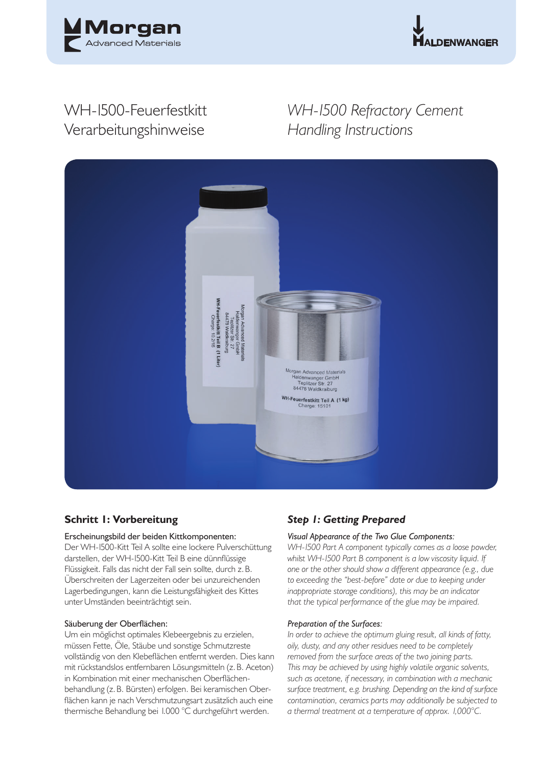



# WH-1500-Feuerfestkitt Verarbeitungshinweise

# *WH-1500 Refractory Cement Handling Instructions*



## **Schritt 1: Vorbereitung**

## Erscheinungsbild der beiden Kittkomponenten:

Der WH-1500-Kitt Teil A sollte eine lockere Pulverschüttung darstellen, der WH-1500-Kitt Teil B eine dünnflüssige Flüssigkeit. Falls das nicht der Fall sein sollte, durch z. B. Überschreiten der Lagerzeiten oder bei unzureichenden Lagerbedingungen, kann die Leistungsfähigkeit des Kittes unter Umständen beeinträchtigt sein.

## Säuberung der Oberflächen:

Um ein möglichst optimales Klebeergebnis zu erzielen, müssen Fette, Öle, Stäube und sonstige Schmutzreste vollständig von den Klebeflächen entfernt werden. Dies kann mit rückstandslos entfernbaren Lösungsmitteln (z. B. Aceton) in Kombination mit einer mechanischen Oberflächenbehandlung (z. B. Bürsten) erfolgen. Bei keramischen Oberflächen kann je nach Verschmutzungsart zusätzlich auch eine thermische Behandlung bei 1.000 °C durchgeführt werden.

## *Step 1: Getting Prepared*

## *Visual Appearance of the Two Glue Components:*

*WH-1500 Part A component typically comes as a loose powder, whilst WH-1500 Part B component is a low viscosity liquid. If one or the other should show a different appearance (e.g., due to exceeding the "best-before" date or due to keeping under inappropriate storage conditions), this may be an indicator that the typical performance of the glue may be impaired.* 

### *Preparation of the Surfaces:*

*In order to achieve the optimum gluing result, all kinds of fatty, oily, dusty, and any other residues need to be completely removed from the surface areas of the two joining parts. This may be achieved by using highly volatile organic solvents, such as acetone, if necessary, in combination with a mechanic surface treatment, e.g. brushing. Depending on the kind of surface contamination, ceramics parts may additionally be subjected to a thermal treatment at a temperature of approx. 1,000°C.*